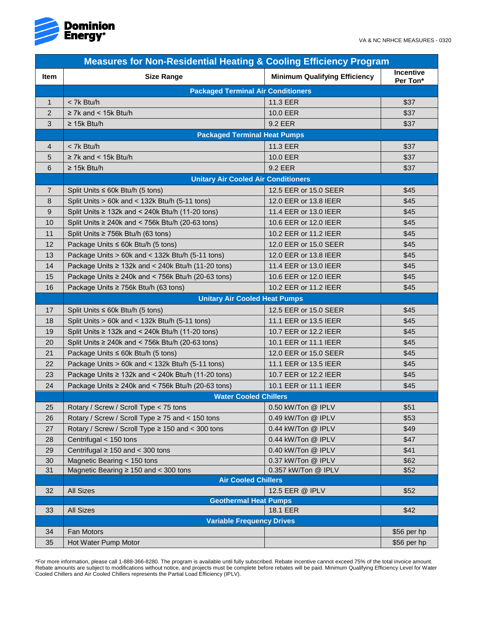

| <b>Measures for Non-Residential Heating &amp; Cooling Efficiency Program</b> |                                                         |                                      |                              |  |
|------------------------------------------------------------------------------|---------------------------------------------------------|--------------------------------------|------------------------------|--|
| Item                                                                         | <b>Size Range</b>                                       | <b>Minimum Qualifying Efficiency</b> | <b>Incentive</b><br>Per Ton* |  |
|                                                                              | <b>Packaged Terminal Air Conditioners</b>               |                                      |                              |  |
| $\mathbf{1}$                                                                 | < 7k Btu/h                                              | 11.3 EER                             | \$37                         |  |
| 2                                                                            | $\geq$ 7k and < 15k Btu/h                               | 10.0 EER                             | \$37                         |  |
| 3                                                                            | $\geq$ 15k Btu/h                                        | 9.2 EER                              | \$37                         |  |
|                                                                              | <b>Packaged Terminal Heat Pumps</b>                     |                                      |                              |  |
| 4                                                                            | < 7k Btu/h                                              | 11.3 EER                             | \$37                         |  |
| 5                                                                            | $\geq$ 7k and < 15k Btu/h                               | 10.0 EER                             | \$37                         |  |
| 6                                                                            | $\geq$ 15k Btu/h                                        | 9.2 EER                              | \$37                         |  |
|                                                                              | <b>Unitary Air Cooled Air Conditioners</b>              |                                      |                              |  |
| $\overline{7}$                                                               | Split Units $\leq$ 60k Btu/h (5 tons)                   | 12.5 EER or 15.0 SEER                | \$45                         |  |
| 8                                                                            | Split Units $> 60k$ and $<$ 132k Btu/h (5-11 tons)      | 12.0 EER or 13.8 IEER                | \$45                         |  |
| 9                                                                            | Split Units ≥ 132k and < 240k Btu/h (11-20 tons)        | 11.4 EER or 13.0 IEER                | \$45                         |  |
| 10                                                                           | Split Units $\geq$ 240k and < 756k Btu/h (20-63 tons)   | 10.6 EER or 12.0 IEER                | \$45                         |  |
| 11                                                                           | Split Units $\geq$ 756k Btu/h (63 tons)                 | 10.2 EER or 11.2 IEER                | \$45                         |  |
| 12                                                                           | Package Units $\leq$ 60k Btu/h (5 tons)                 | 12.0 EER or 15.0 SEER                | \$45                         |  |
| 13                                                                           | Package Units > 60k and < 132k Btu/h (5-11 tons)        | 12.0 EER or 13.8 IEER                | \$45                         |  |
| 14                                                                           | Package Units $\geq$ 132k and < 240k Btu/h (11-20 tons) | 11.4 EER or 13.0 IEER                | \$45                         |  |
| 15                                                                           | Package Units $\geq$ 240k and < 756k Btu/h (20-63 tons) | 10.6 EER or 12.0 IEER                | \$45                         |  |
| 16                                                                           | Package Units ≥ 756k Btu/h (63 tons)                    | 10.2 EER or 11.2 IEER                | \$45                         |  |
|                                                                              | <b>Unitary Air Cooled Heat Pumps</b>                    |                                      |                              |  |
| 17                                                                           | Split Units $\leq$ 60k Btu/h (5 tons)                   | 12.5 EER or 15.0 SEER                | \$45                         |  |
| 18                                                                           | Split Units > 60k and < 132k Btu/h (5-11 tons)          | 11.1 EER or 13.5 IEER                | \$45                         |  |
| 19                                                                           | Split Units ≥ 132k and < 240k Btu/h (11-20 tons)        | 10.7 EER or 12.2 IEER                | \$45                         |  |
| 20                                                                           | Split Units $\geq$ 240k and < 756k Btu/h (20-63 tons)   | 10.1 EER or 11.1 IEER                | \$45                         |  |
| 21                                                                           | Package Units $\leq$ 60k Btu/h (5 tons)                 | 12.0 EER or 15.0 SEER                | \$45                         |  |
| 22                                                                           | Package Units > 60k and < 132k Btu/h (5-11 tons)        | 11.1 EER or 13.5 IEER                | \$45                         |  |
| 23                                                                           | Package Units $\geq$ 132k and < 240k Btu/h (11-20 tons) | 10.7 EER or 12.2 IEER                | \$45                         |  |
| 24                                                                           | Package Units ≥ 240k and < 756k Btu/h (20-63 tons)      | 10.1 EER or 11.1 IEER                | \$45                         |  |
|                                                                              | <b>Water Cooled Chillers</b>                            |                                      |                              |  |
| 25                                                                           | Rotary / Screw / Scroll Type < 75 tons                  | 0.50 kW/Ton @ IPLV                   | \$51                         |  |
| 26                                                                           | Rotary / Screw / Scroll Type ≥ 75 and < 150 tons        | 0.49 kW/Ton @ IPLV                   | \$53                         |  |
| 27                                                                           | Rotary / Screw / Scroll Type ≥ 150 and < 300 tons       | 0.44 kW/Ton @ IPLV                   | \$49                         |  |
| 28                                                                           | Centrifugal < 150 tons                                  | 0.44 kW/Ton @ IPLV                   | \$47                         |  |
| 29                                                                           | Centrifugal $\geq 150$ and $< 300$ tons                 | 0.40 kW/Ton @ IPLV                   | \$41                         |  |
| 30                                                                           | Magnetic Bearing < 150 tons                             | 0.37 kW/Ton @ IPLV                   | \$62                         |  |
| 31                                                                           | Magnetic Bearing $\geq$ 150 and < 300 tons              | 0.357 kW/Ton @ IPLV                  | \$52                         |  |
|                                                                              | <b>Air Cooled Chillers</b>                              |                                      |                              |  |
| 32                                                                           | <b>All Sizes</b>                                        | 12.5 EER @ IPLV                      | \$52                         |  |
|                                                                              | <b>Geothermal Heat Pumps</b>                            |                                      |                              |  |
| 33                                                                           | <b>All Sizes</b>                                        | 18.1 EER                             | \$42                         |  |
|                                                                              | <b>Variable Frequency Drives</b>                        |                                      |                              |  |
| 34                                                                           | Fan Motors                                              |                                      | \$56 per hp                  |  |
| 35                                                                           | Hot Water Pump Motor                                    |                                      | \$56 per hp                  |  |

\*For more information, please call 1-888-366-8280. The program is available until fully subscribed. Rebate incentive cannot exceed 75% of the total invoice amount. Rebate amounts are subject to modifications without notice, and projects must be complete before rebates will be paid. Minimum Qualifying Efficiency Level for Water Cooled Chillers and Air Cooled Chillers represents the Partial Load Efficiency (IPLV).